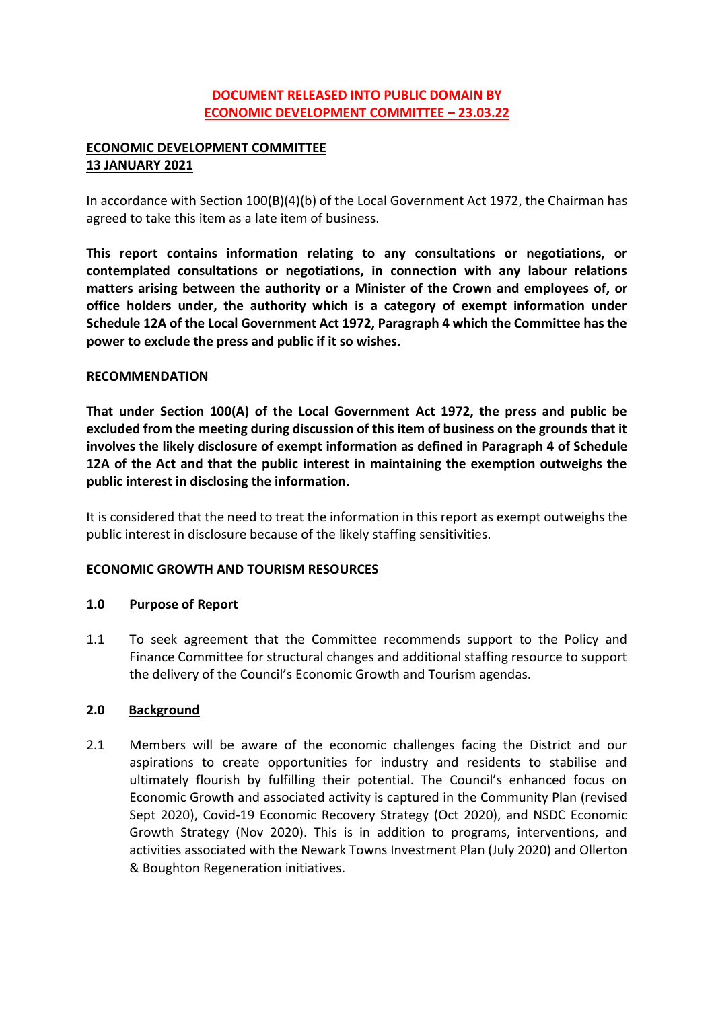# **DOCUMENT RELEASED INTO PUBLIC DOMAIN BY ECONOMIC DEVELOPMENT COMMITTEE – 23.03.22**

# **ECONOMIC DEVELOPMENT COMMITTEE 13 JANUARY 2021**

In accordance with Section 100(B)(4)(b) of the Local Government Act 1972, the Chairman has agreed to take this item as a late item of business.

**This report contains information relating to any consultations or negotiations, or contemplated consultations or negotiations, in connection with any labour relations matters arising between the authority or a Minister of the Crown and employees of, or office holders under, the authority which is a category of exempt information under Schedule 12A of the Local Government Act 1972, Paragraph 4 which the Committee has the power to exclude the press and public if it so wishes.**

### **RECOMMENDATION**

**That under Section 100(A) of the Local Government Act 1972, the press and public be excluded from the meeting during discussion of this item of business on the grounds that it involves the likely disclosure of exempt information as defined in Paragraph 4 of Schedule 12A of the Act and that the public interest in maintaining the exemption outweighs the public interest in disclosing the information.**

It is considered that the need to treat the information in this report as exempt outweighs the public interest in disclosure because of the likely staffing sensitivities.

#### **ECONOMIC GROWTH AND TOURISM RESOURCES**

#### **1.0 Purpose of Report**

1.1 To seek agreement that the Committee recommends support to the Policy and Finance Committee for structural changes and additional staffing resource to support the delivery of the Council's Economic Growth and Tourism agendas.

# **2.0 Background**

2.1 Members will be aware of the economic challenges facing the District and our aspirations to create opportunities for industry and residents to stabilise and ultimately flourish by fulfilling their potential. The Council's enhanced focus on Economic Growth and associated activity is captured in the Community Plan (revised Sept 2020), Covid-19 Economic Recovery Strategy (Oct 2020), and NSDC Economic Growth Strategy (Nov 2020). This is in addition to programs, interventions, and activities associated with the Newark Towns Investment Plan (July 2020) and Ollerton & Boughton Regeneration initiatives.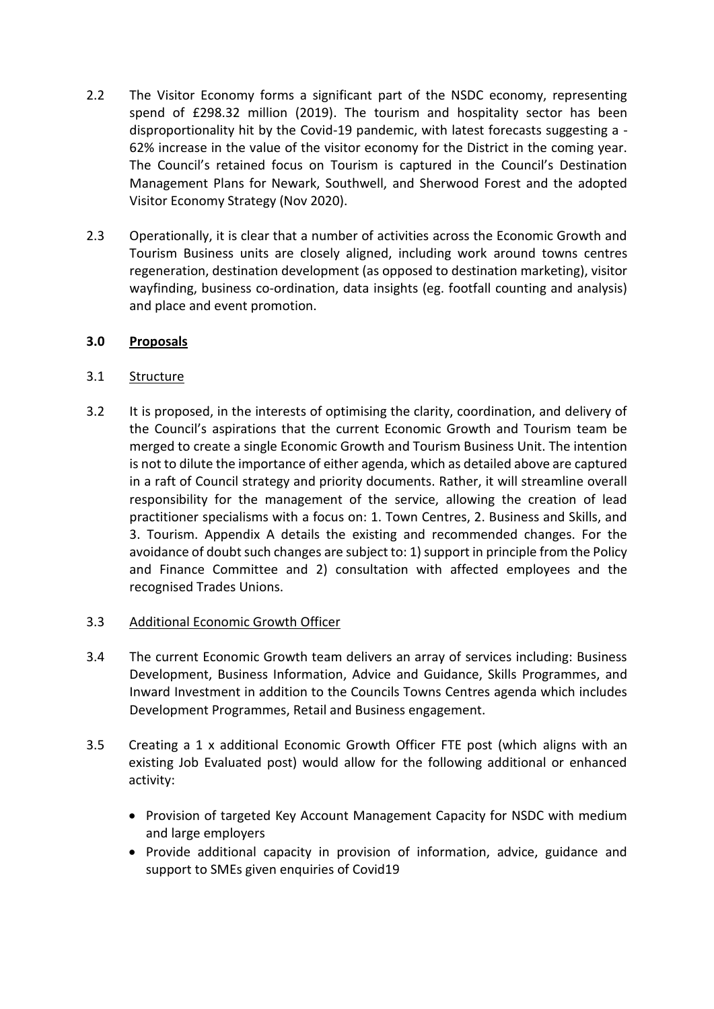- 2.2 The Visitor Economy forms a significant part of the NSDC economy, representing spend of £298.32 million (2019). The tourism and hospitality sector has been disproportionality hit by the Covid-19 pandemic, with latest forecasts suggesting a - 62% increase in the value of the visitor economy for the District in the coming year. The Council's retained focus on Tourism is captured in the Council's Destination Management Plans for Newark, Southwell, and Sherwood Forest and the adopted Visitor Economy Strategy (Nov 2020).
- 2.3 Operationally, it is clear that a number of activities across the Economic Growth and Tourism Business units are closely aligned, including work around towns centres regeneration, destination development (as opposed to destination marketing), visitor wayfinding, business co-ordination, data insights (eg. footfall counting and analysis) and place and event promotion.

### **3.0 Proposals**

### 3.1 Structure

3.2 It is proposed, in the interests of optimising the clarity, coordination, and delivery of the Council's aspirations that the current Economic Growth and Tourism team be merged to create a single Economic Growth and Tourism Business Unit. The intention is not to dilute the importance of either agenda, which as detailed above are captured in a raft of Council strategy and priority documents. Rather, it will streamline overall responsibility for the management of the service, allowing the creation of lead practitioner specialisms with a focus on: 1. Town Centres, 2. Business and Skills, and 3. Tourism. Appendix A details the existing and recommended changes. For the avoidance of doubt such changes are subject to: 1) support in principle from the Policy and Finance Committee and 2) consultation with affected employees and the recognised Trades Unions.

#### 3.3 Additional Economic Growth Officer

- 3.4 The current Economic Growth team delivers an array of services including: Business Development, Business Information, Advice and Guidance, Skills Programmes, and Inward Investment in addition to the Councils Towns Centres agenda which includes Development Programmes, Retail and Business engagement.
- 3.5 Creating a 1 x additional Economic Growth Officer FTE post (which aligns with an existing Job Evaluated post) would allow for the following additional or enhanced activity:
	- Provision of targeted Key Account Management Capacity for NSDC with medium and large employers
	- Provide additional capacity in provision of information, advice, guidance and support to SMEs given enquiries of Covid19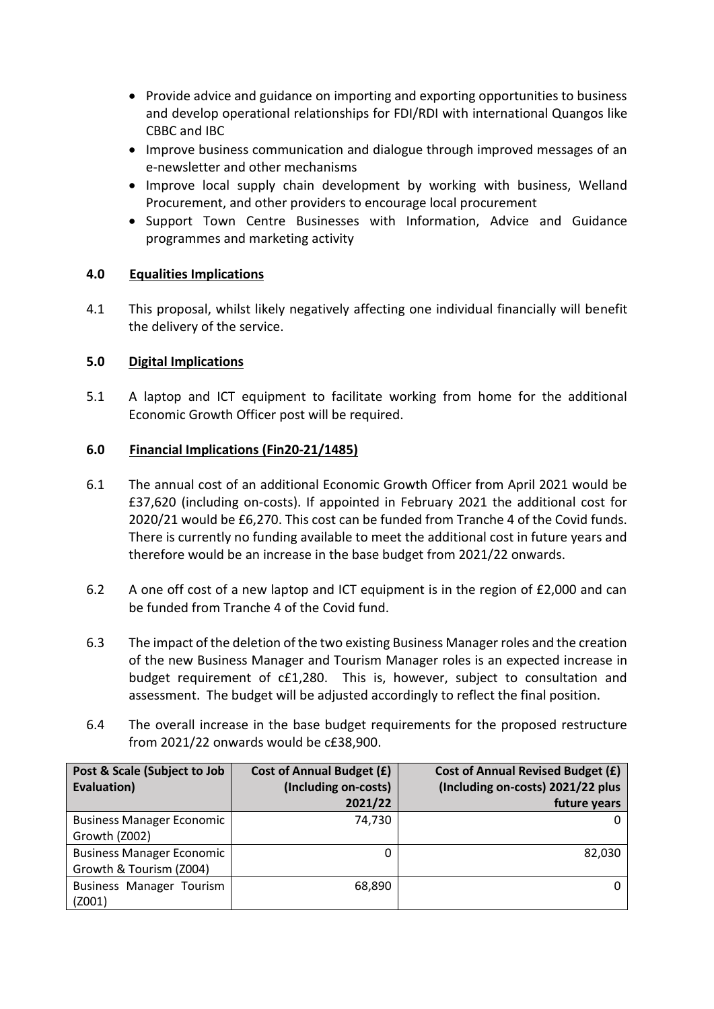- Provide advice and guidance on importing and exporting opportunities to business and develop operational relationships for FDI/RDI with international Quangos like CBBC and IBC
- Improve business communication and dialogue through improved messages of an e-newsletter and other mechanisms
- Improve local supply chain development by working with business, Welland Procurement, and other providers to encourage local procurement
- Support Town Centre Businesses with Information. Advice and Guidance programmes and marketing activity

### **4.0 Equalities Implications**

4.1 This proposal, whilst likely negatively affecting one individual financially will benefit the delivery of the service.

# **5.0 Digital Implications**

5.1 A laptop and ICT equipment to facilitate working from home for the additional Economic Growth Officer post will be required.

### **6.0 Financial Implications (Fin20-21/1485)**

- 6.1 The annual cost of an additional Economic Growth Officer from April 2021 would be £37,620 (including on-costs). If appointed in February 2021 the additional cost for 2020/21 would be £6,270. This cost can be funded from Tranche 4 of the Covid funds. There is currently no funding available to meet the additional cost in future years and therefore would be an increase in the base budget from 2021/22 onwards.
- 6.2 A one off cost of a new laptop and ICT equipment is in the region of £2,000 and can be funded from Tranche 4 of the Covid fund.
- 6.3 The impact of the deletion of the two existing Business Manager roles and the creation of the new Business Manager and Tourism Manager roles is an expected increase in budget requirement of c£1,280. This is, however, subject to consultation and assessment. The budget will be adjusted accordingly to reflect the final position.
- 6.4 The overall increase in the base budget requirements for the proposed restructure from 2021/22 onwards would be c£38,900.

| Post & Scale (Subject to Job     | <b>Cost of Annual Budget (£)</b> | <b>Cost of Annual Revised Budget (£)</b> |
|----------------------------------|----------------------------------|------------------------------------------|
| Evaluation)                      | (Including on-costs)             | (Including on-costs) 2021/22 plus        |
|                                  | 2021/22                          | future years                             |
| <b>Business Manager Economic</b> | 74,730                           |                                          |
| Growth (Z002)                    |                                  |                                          |
| <b>Business Manager Economic</b> |                                  | 82,030                                   |
| Growth & Tourism (Z004)          |                                  |                                          |
| Business Manager Tourism         | 68,890                           |                                          |
| (Z001)                           |                                  |                                          |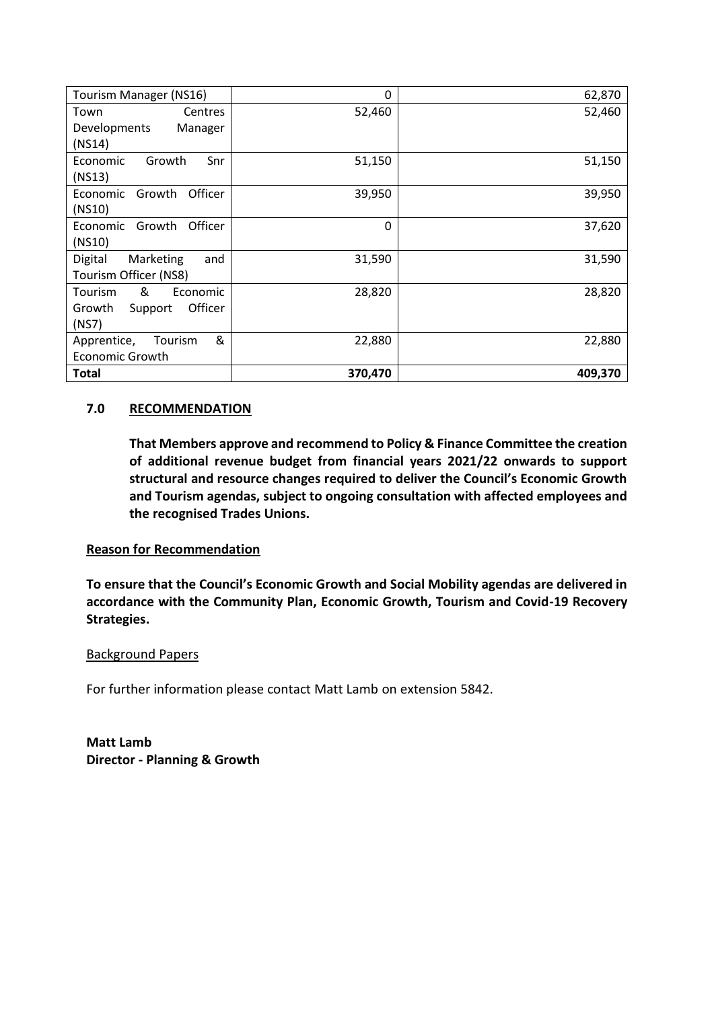| Tourism Manager (NS16)        | $\Omega$ | 62,870  |
|-------------------------------|----------|---------|
| Town<br><b>Centres</b>        | 52,460   | 52,460  |
| Developments<br>Manager       |          |         |
| (NS14)                        |          |         |
| Economic<br>Growth<br>Snr     | 51,150   | 51,150  |
| (NS13)                        |          |         |
| Officer<br>Growth<br>Economic | 39,950   | 39,950  |
| (NS10)                        |          |         |
| Officer<br>Growth<br>Economic | $\Omega$ | 37,620  |
| (NS10)                        |          |         |
| Marketing<br>Digital<br>and   | 31,590   | 31,590  |
| Tourism Officer (NS8)         |          |         |
| &<br>Tourism<br>Economic      | 28,820   | 28,820  |
| Officer<br>Growth<br>Support  |          |         |
| (NS7)                         |          |         |
| &<br>Tourism<br>Apprentice,   | 22,880   | 22,880  |
| <b>Economic Growth</b>        |          |         |
| <b>Total</b>                  | 370,470  | 409,370 |

# **7.0 RECOMMENDATION**

**That Members approve and recommend to Policy & Finance Committee the creation of additional revenue budget from financial years 2021/22 onwards to support structural and resource changes required to deliver the Council's Economic Growth and Tourism agendas, subject to ongoing consultation with affected employees and the recognised Trades Unions.**

#### **Reason for Recommendation**

**To ensure that the Council's Economic Growth and Social Mobility agendas are delivered in accordance with the Community Plan, Economic Growth, Tourism and Covid-19 Recovery Strategies.** 

#### Background Papers

For further information please contact Matt Lamb on extension 5842.

**Matt Lamb Director - Planning & Growth**